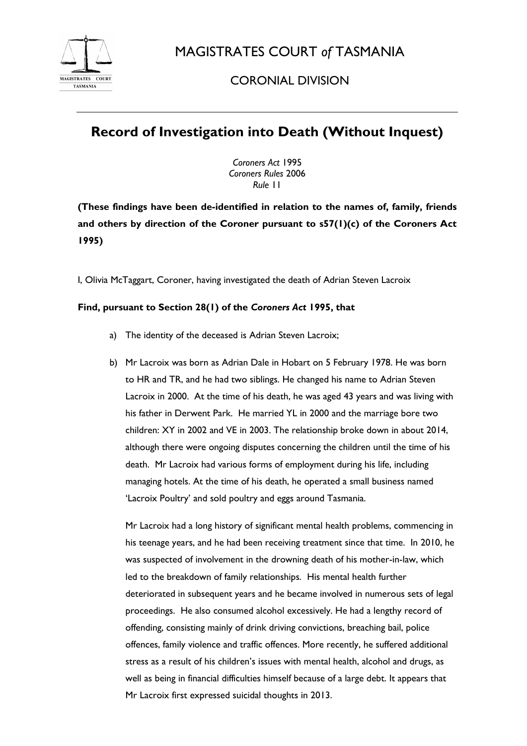

MAGISTRATES COURT *of* TASMANIA

## CORONIAL DIVISION

## **Record of Investigation into Death (Without Inquest)**

*Coroners Act* 1995 *Coroners Rules* 2006 *Rule* 11

**(These findings have been de-identified in relation to the names of, family, friends and others by direction of the Coroner pursuant to s57(1)(c) of the Coroners Act 1995)**

I, Olivia McTaggart, Coroner, having investigated the death of Adrian Steven Lacroix

## **Find, pursuant to Section 28(1) of the** *Coroners Act* **1995, that**

- a) The identity of the deceased is Adrian Steven Lacroix;
- b) Mr Lacroix was born as Adrian Dale in Hobart on 5 February 1978. He was born to HR and TR, and he had two siblings. He changed his name to Adrian Steven Lacroix in 2000. At the time of his death, he was aged 43 years and was living with his father in Derwent Park. He married YL in 2000 and the marriage bore two children: XY in 2002 and VE in 2003. The relationship broke down in about 2014, although there were ongoing disputes concerning the children until the time of his death. Mr Lacroix had various forms of employment during his life, including managing hotels. At the time of his death, he operated a small business named 'Lacroix Poultry' and sold poultry and eggs around Tasmania.

Mr Lacroix had a long history of significant mental health problems, commencing in his teenage years, and he had been receiving treatment since that time. In 2010, he was suspected of involvement in the drowning death of his mother-in-law, which led to the breakdown of family relationships. His mental health further deteriorated in subsequent years and he became involved in numerous sets of legal proceedings. He also consumed alcohol excessively. He had a lengthy record of offending, consisting mainly of drink driving convictions, breaching bail, police offences, family violence and traffic offences. More recently, he suffered additional stress as a result of his children's issues with mental health, alcohol and drugs, as well as being in financial difficulties himself because of a large debt. It appears that Mr Lacroix first expressed suicidal thoughts in 2013.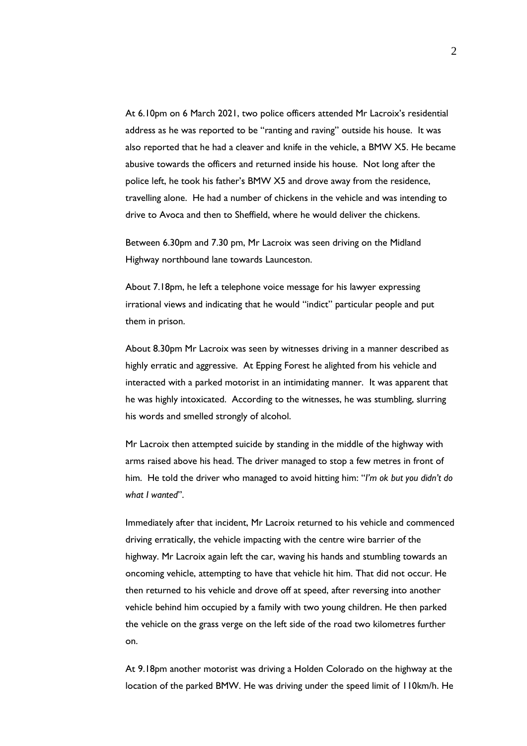At 6.10pm on 6 March 2021, two police officers attended Mr Lacroix's residential address as he was reported to be "ranting and raving" outside his house. It was also reported that he had a cleaver and knife in the vehicle, a BMW X5. He became abusive towards the officers and returned inside his house. Not long after the police left, he took his father's BMW X5 and drove away from the residence, travelling alone. He had a number of chickens in the vehicle and was intending to drive to Avoca and then to Sheffield, where he would deliver the chickens.

Between 6.30pm and 7.30 pm, Mr Lacroix was seen driving on the Midland Highway northbound lane towards Launceston.

About 7.18pm, he left a telephone voice message for his lawyer expressing irrational views and indicating that he would "indict" particular people and put them in prison.

About 8.30pm Mr Lacroix was seen by witnesses driving in a manner described as highly erratic and aggressive. At Epping Forest he alighted from his vehicle and interacted with a parked motorist in an intimidating manner. It was apparent that he was highly intoxicated. According to the witnesses, he was stumbling, slurring his words and smelled strongly of alcohol.

Mr Lacroix then attempted suicide by standing in the middle of the highway with arms raised above his head. The driver managed to stop a few metres in front of him. He told the driver who managed to avoid hitting him: "*I'm ok but you didn't do what I wanted*".

Immediately after that incident, Mr Lacroix returned to his vehicle and commenced driving erratically, the vehicle impacting with the centre wire barrier of the highway. Mr Lacroix again left the car, waving his hands and stumbling towards an oncoming vehicle, attempting to have that vehicle hit him. That did not occur. He then returned to his vehicle and drove off at speed, after reversing into another vehicle behind him occupied by a family with two young children. He then parked the vehicle on the grass verge on the left side of the road two kilometres further on.

At 9.18pm another motorist was driving a Holden Colorado on the highway at the location of the parked BMW. He was driving under the speed limit of 110km/h. He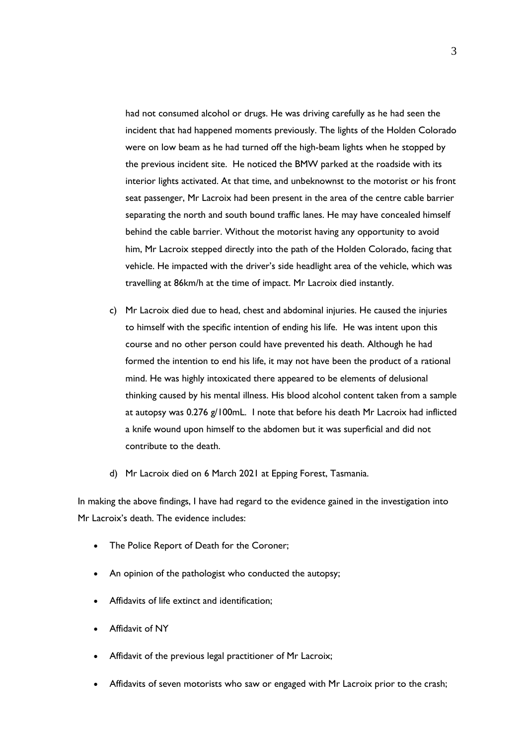had not consumed alcohol or drugs. He was driving carefully as he had seen the incident that had happened moments previously. The lights of the Holden Colorado were on low beam as he had turned off the high-beam lights when he stopped by the previous incident site. He noticed the BMW parked at the roadside with its interior lights activated. At that time, and unbeknownst to the motorist or his front seat passenger, Mr Lacroix had been present in the area of the centre cable barrier separating the north and south bound traffic lanes. He may have concealed himself behind the cable barrier. Without the motorist having any opportunity to avoid him, Mr Lacroix stepped directly into the path of the Holden Colorado, facing that vehicle. He impacted with the driver's side headlight area of the vehicle, which was travelling at 86km/h at the time of impact. Mr Lacroix died instantly.

- c) Mr Lacroix died due to head, chest and abdominal injuries. He caused the injuries to himself with the specific intention of ending his life. He was intent upon this course and no other person could have prevented his death. Although he had formed the intention to end his life, it may not have been the product of a rational mind. He was highly intoxicated there appeared to be elements of delusional thinking caused by his mental illness. His blood alcohol content taken from a sample at autopsy was 0.276 g/100mL. I note that before his death Mr Lacroix had inflicted a knife wound upon himself to the abdomen but it was superficial and did not contribute to the death.
- d) Mr Lacroix died on 6 March 2021 at Epping Forest, Tasmania.

In making the above findings, I have had regard to the evidence gained in the investigation into Mr Lacroix's death. The evidence includes:

- The Police Report of Death for the Coroner;
- An opinion of the pathologist who conducted the autopsy;
- Affidavits of life extinct and identification;
- Affidavit of NY
- Affidavit of the previous legal practitioner of Mr Lacroix;
- Affidavits of seven motorists who saw or engaged with Mr Lacroix prior to the crash;